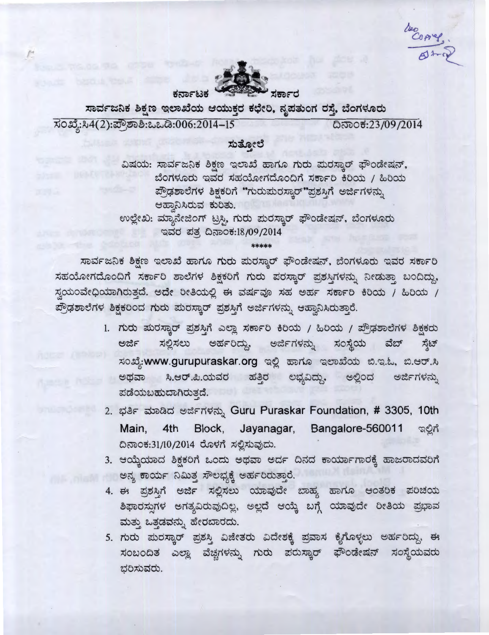COAMY



ಸಾರ್ವಜನಿಕ ಶಿಕ್ಷಣ ಇಲಾಖೆಯ ಆಯುಕ್ತರ ಕಛೇರಿ, ನೃಪತುಂಗ ರಸ್ತೆ, ಬೆಂಗಳೂರು ಸಂಖ್ಯೆ:ಸಿ4(2):ಪ್ರೌಶಾಶಿ:ಒಒಡಿ:006:2014-15 ದಿನಾಂಕ:23/09/2014

## ಸುತ್ತೋಲೆ

ವಿಷಯ: ಸಾರ್ವಜನಿಕ ಶಿಕ್ಷಣ ಇಲಾಖೆ ಹಾಗೂ ಗುರು ಮರಸ್ವಾರ್ ಫೌಂಡೇಷನ್, ಬೆಂಗಳೂರು ಇವರ ಸಹಯೋಗದೊಂದಿಗೆ ಸರ್ಕಾರಿ ಕಿರಿಯ / ಹಿರಿಯ ಪ್ರೌಢಶಾಲೆಗಳ ಶಿಕ್ಷಕರಿಗೆ "ಗುರುಮರಸ್ಕಾರ್"ಪ್ರಶಸ್ತಿಗೆ ಅರ್ಜಿಗಳನ್ನು ಆಹ್ರಾನಿಸಿರುವ ಕುರಿತು.

ಉಲ್ಲೇಖ: ಮ್ಯಾನೇಜಿಂಗ್ ಟ್ರಸ್ತಿ, ಗುರು ಮರಸ್ಕಾರ್ ಫೌಂಡೇಷನ್, ಬೆಂಗಳೂರು ್ಇವರ ಪತ್ರ ದಿನಾಂಕ:18/09/2014

\*\*\*\*\*

ಸಾರ್ವಜನಿಕ ಶಿಕ್ಷಣ ಇಲಾಖೆ ಹಾಗೂ ಗುರು ಮರಸ್ಕಾರ್ ಫೌಂಡೇಷನ್, ಬೆಂಗಳೂರು ಇವರ ಸರ್ಕಾರಿ ಸಹಯೋಗದೊಂದಿಗೆ ಸರ್ಕಾರಿ ಶಾಲೆಗಳ ಶಿಕ್ಷಕರಿಗೆ ಗುರು ಪರಸ್ಕಾರ್ ಪ್ರಶಸ್ತಿಗಳನ್ನು ನೀಡುತ್ತಾ ಬಂದಿದ್ದು, ಸ್ವಯಂವೇಧಿಯಾಗಿರುತ್ತದೆ. ಅದೇ ರೀತಿಯಲ್ಲಿ ಈ ವರ್ಷವೂ ಸಹ ಅರ್ಹ ಸರ್ಕಾರಿ ಕಿರಿಯ / ಹಿರಿಯ / ಪ್ರೌಢಶಾಲೆಗಳ ಶಿಕ್ಷಕರಿಂದ ಗುರು ಮರಸ್ಕಾರ್ ಪ್ರಶಸ್ತಿಗೆ ಅರ್ಜಿಗಳನ್ನು ಆಹ್ವಾನಿಸಿರುತ್ತಾರೆ.

- 1. ಗುರು ಮರಸ್ಕಾರ್ ಪ್ರಶಸ್ತಿಗೆ ಎಲ್ಲಾ ಸರ್ಕಾರಿ ಕಿರಿಯ / ಹಿರಿಯ / ಪ್ರೌಢಶಾಲೆಗಳ ಶಿಕ್ಷಕರು ಅರ್ಹರಿದ್ದು, ಅರ್ಜಿಗಳನ್ನು ಅರ್ಜಿ ಸಲ್ಲಿಸಲು ಸಂಸ್ಥೆಯ ವೆಬ್ ಸ್ಟೆಟ್ ಸಂಖ್ಯೆ:www.gurupuraskar.org ಇಲ್ಲಿ ಹಾಗೂ ಇಲಾಖೆಯ ಬಿ.ಇ.ಓ, ಬಿ.ಆರ್.ಸಿ ಅಥವಾ ಸಿ.ಆರ್.ಪಿ.ಯವರ ಹತ್ತಿರ ಲಭ್ಯವಿದ್ದು, ಅಲ್ಲಿಂದ ಅರ್ಜಿಗಳನ್ನು ಪಡೆಯಬಹುದಾಗಿರುತ್ತದೆ.
- 2. ಭರ್ತಿ ಮಾಡಿದ ಅರ್ಜಿಗಳನ್ನು Guru Puraskar Foundation, # 3305, 10th Jayanagar, Bangalore-560011 Main, 4th Block, ಇಲ್ಲಿಗೆ ದಿನಾಂಕ:31/10/2014 ರೊಳಗೆ ಸಲ್ಲಿಸುವುದು.
- 3. ಆಯ್ತೆಯಾದ ಶಿಕ್ಷಕರಿಗೆ ಒಂದು ಅಥವಾ ಅರ್ದ ದಿನದ ಕಾರ್ಯಾಗಾರಕ್ಕೆ ಹಾಜರಾದವರಿಗೆ ಅನ್ಯ ಕಾರ್ಯ ನಿಮಿತ್ಯ ಸೌಲಭ್ಯಕ್ಕೆ ಅರ್ಹರಿರುತ್ತಾರೆ.
- 4. ಈ ಪ್ರಶಸ್ತಿಗೆ ಅರ್ಜಿ ಸಲ್ಲಿಸಲು ಯಾವುದೇ ಬಾಹ್ಯ ಹಾಗೂ ಆಂತರಿಕ ಪರಿಚಯ ಶಿಫಾರಸ್ಸುಗಳ ಅಗತ್ಯವಿರುವುದಿಲ್ಲ, ಅಲ್ಲದೆ ಆಯ್ಕೆ ಬಗ್ಗೆ ಯಾವುದೇ ರೀತಿಯ ಪ್ರಭಾವ ಮತ್ತು ಒತ್ತಡವನ್ನು ಹೇರಬಾರದು.
- 5. ಗುರು ಮರಸ್ಕಾರ್ ಪ್ರಶಸ್ತಿ ವಿಜೇತರು ವಿದೇಶಕ್ಕೆ ಪ್ರವಾಸ ಕೈಗೊಳ್ಳಲು ಅರ್ಹರಿದ್ದು, ಈ ಸಂಬಂದಿತ ಎಲ್ಲಾ ವೆಚ್ಚಗಳನ್ನು ಗುರು ಪರುಸ್ಕಾರ್ ಫೌಂಡೇಷನ್ ಸಂಸ್ಥೆಯವರು ಭರಿಸುವರು.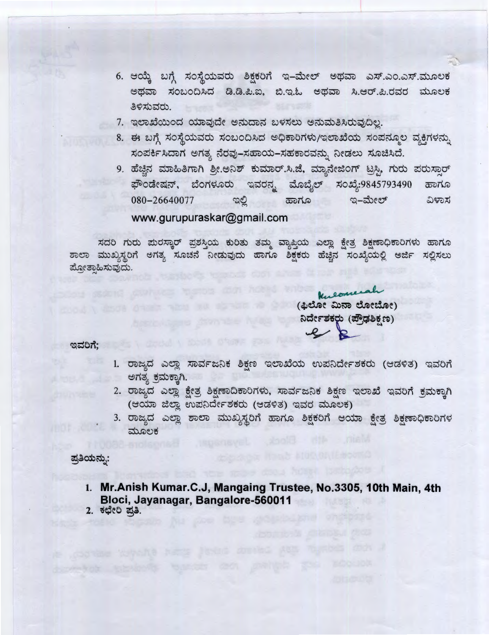- 6. ಆಯ್ಕೆ ಬಗ್ಗೆ ಸಂಸ್ಥೆಯವರು ಶಿಕ್ಷಕರಿಗೆ ಇ-ಮೇಲ್ ಅಥವಾ ಎಸ್.ಎಂ.ಎಸ್.ಮೂಲಕ ಅಥವಾ ಸಂಬಂದಿಸಿದ ಡಿ.ಡಿ.ಪಿ.ಐ, ಬಿ.ಇ.ಓ ಅಥವಾ ಸಿ.ಆರ್.ಪಿ.ರವರ ಮೂಲಕ ತಿಳಿಸುವರು.
- 7. ಇಲಾಖೆಯಿಂದ ಯಾವುದೇ ಅನುದಾನ ಬಳಸಲು ಅನುಮತಿಸಿರುವುದಿಲ್ಲ.
- 8. ಈ ಬಗ್ಗೆ ಸಂಸ್ಥೆಯವರು ಸಂಬಂದಿಸಿದ ಅಧಿಕಾರಿಗಳು/ಇಲಾಖೆಯ ಸಂಪನ್ಮೂಲ ವ್ಯಕ್ತಿಗಳನ್ನು ಸಂಪರ್ಕಿಸಿದಾಗ ಅಗತ್ಯ ನೆರವು-ಸಹಾಯ-ಸಹಕಾರವನ್ನು ನೀಡಲು ಸೂಚಿಸಿದೆ.
- 9. ಹೆಚ್ಚಿನ ಮಾಹಿತಿಗಾಗಿ ಶ್ರೀ.ಅನಿಶ್ ಕುಮಾರ್.ಸಿ.ಜೆ, ಮ್ಯಾನೇಜಿಂಗ್ ಟ್ರಸಿ, ಗುರು ಪರುಸ್ಪಾರ್ ಫೌಂಡೇಷನ್, ಬೆಂಗಳೂರು ಇವರನ್ನ ಮೊಬೈಲ್ ಸಂಖ್ಯೆ:9845793490 ಹಾಗೂ 080-26640077 ಹಾಗೂ  $a$ -ಮೇಲ್ ವಿಳಾಸ ಇಲ್ಲಿ www.gurupuraskar@gmail.com

ಸದರಿ ಗುರು ಮರಸ್ಕಾರ್ ಪ್ರಶಸ್ತಿಯ ಕುರಿತು ತಮ್ಮ ವ್ಯಾಪ್ತಿಯ ಎಲ್ಲಾ ಕ್ಷೇತ್ರ ಶಿಕ್ಷಣಾಧಿಕಾರಿಗಳು ಹಾಗೂ ಶಾಲಾ ಮುಖ್ಯಸ್ಥರಿಗೆ ಅಗತ್ಯ ಸೂಚನೆ ನೀಡುವುದು ಹಾಗೂ ಶಿಕ್ಷಕರು ಹೆಚ್ಚಿನ ಸಂಖ್ಯೆಯಲ್ಲಿ ಅರ್ಜಿ ಸಲ್ಲಿಸಲು ಪ್ರೋತ್ಕಾಹಿಸುವುದು.

> eome (ಫಿಲೋ ಮಿನಾ ಲೋಬೋ) ನಿರ್ದೇಶಕರು (ಪೌಢಶಿಕ್ಷಣ)

ಇವರಿಗೆ:

- 1. ರಾಜ್ಯದ ಎಲ್ಲಾ ಸಾರ್ವಜನಿಕ ಶಿಕ್ಷಣ ಇಲಾಖೆಯ ಉಪನಿರ್ದೇಶಕರು (ಆಡಳಿತ) ಇವರಿಗೆ ಅಗತ್ಯ ಕ್ರಮಕ್ಕಾಗಿ.
- 2. ರಾಜ್ಯದ ಎಲ್ಲಾ ಕ್ಷೇತ್ರ ಶಿಕ್ಷಣಾದಿಕಾರಿಗಳು, ಸಾರ್ವಜನಿಕ ಶಿಕ್ಷಣ ಇಲಾಖೆ ಇವರಿಗೆ ಕ್ರಮಕ್ಕಾಗಿ (ಆಯಾ ಜಿಲ್ಲಾ ಉಪನಿರ್ದೇಶಕರು (ಆಡಳಿತ) ಇವರ ಮೂಲಕ)
- 3. ರಾಜ್ಯದ ಎಲ್ಲಾ ಶಾಲಾ ಮುಖ್ಯಸ್ಥರಿಗೆ ಹಾಗೂ ಶಿಕ್ಷಕರಿಗೆ ಆಯಾ ಕ್ಷೇತ್ರ ಶಿಕ್ಷಣಾಧಿಕಾರಿಗಳ ಮೂಲಕ

ಪ್ರತಿಯನ್ನು:

- 1. Mr.Anish Kumar.C.J, Mangaing Trustee, No.3305, 10th Main, 4th Bloci, Jayanagar, Bangalore-560011
- 2. ಕಛೇರಿ ಪ್ರತಿ.